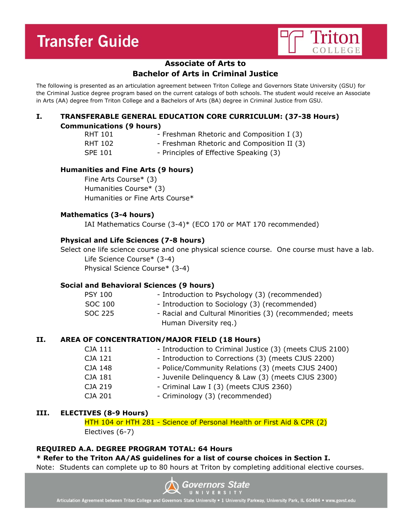

## **Associate of Arts to**

# **Bachelor of Arts in Criminal Justice**

The following is presented as an articulation agreement between Triton College and Governors State University (GSU) for the Criminal Justice degree program based on the current catalogs of both schools. The student would receive an Associate in Arts (AA) degree from Triton College and a Bachelors of Arts (BA) degree in Criminal Justice from GSU.

## **I. TRANSFERABLE GENERAL EDUCATION CORE CURRICULUM: (37-38 Hours) Communications (9 hours)**

- 
- RHT 101 Freshman Rhetoric and Composition I (3)
- RHT 102 Freshman Rhetoric and Composition II (3)
- SPE 101 Principles of Effective Speaking (3)

## **Humanities and Fine Arts (9 hours)**

Fine Arts Course\* (3) Humanities Course\* (3) Humanities or Fine Arts Course\*

### **Mathematics (3-4 hours)**

IAI Mathematics Course (3-4)\* (ECO 170 or MAT 170 recommended)

## **Physical and Life Sciences (7-8 hours)**

Select one life science course and one physical science course. One course must have a lab. Life Science Course\* (3-4) Physical Science Course\* (3-4)

### **Social and Behavioral Sciences (9 hours)**

| <b>PSY 100</b> | - Introduction to Psychology (3) (recommended)           |
|----------------|----------------------------------------------------------|
| SOC 100        | - Introduction to Sociology (3) (recommended)            |
| SOC 225        | - Racial and Cultural Minorities (3) (recommended; meets |
|                | Human Diversity reg.)                                    |

### **II. AREA OF CONCENTRATION/MAJOR FIELD (18 Hours)**

| - Introduction to Criminal Justice (3) (meets CJUS 2100) |
|----------------------------------------------------------|
|                                                          |
| - Police/Community Relations (3) (meets CJUS 2400)       |
|                                                          |
|                                                          |
|                                                          |
| - Juvenile Delinguency & Law (3) (meets CJUS 2300)       |

### **III. ELECTIVES (8-9 Hours)**

HTH 104 or HTH 281 - Science of Personal Health or First Aid & CPR (2) Electives (6-7)

### **REQUIRED A.A. DEGREE PROGRAM TOTAL: 64 Hours**

### **\* Refer to the Triton AA/AS guidelines for a list of course choices in Section I.**

Note: Students can complete up to 80 hours at Triton by completing additional elective courses.



Articulation Agreement between Triton College and Governors State University . 1 University Parkway, University Park, IL 60484 . www.govst.edu